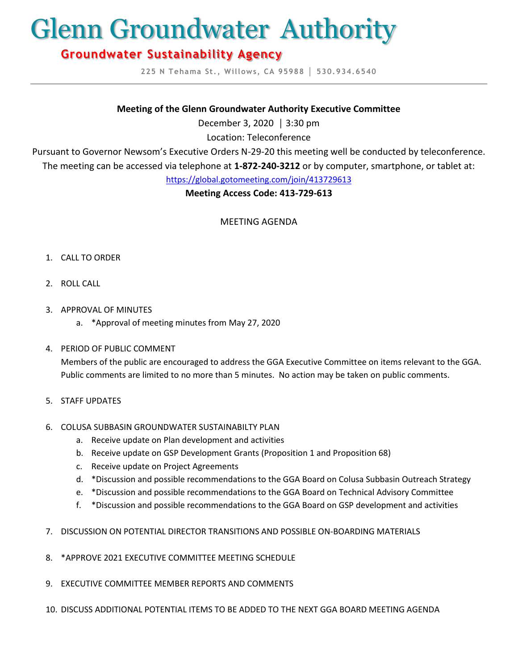# Glenn Groundwater Authority

# **Groundwater Sustainability Agency**

**225 N Tehama St., Willows, CA 95988 │ 530.934.6540**

#### **Meeting of the Glenn Groundwater Authority Executive Committee**

December 3, 2020 │ 3:30 pm

Location: Teleconference

Pursuant to Governor Newsom's Executive Orders N-29-20 this meeting well be conducted by teleconference.

The meeting can be accessed via telephone at **1-872-240-3212** or by computer, smartphone, or tablet at:

<https://global.gotomeeting.com/join/413729613>

## **Meeting Access Code: 413-729-613**

MEETING AGENDA

- 1. CALL TO ORDER
- 2. ROLL CALL
- 3. APPROVAL OF MINUTES
	- a. \*Approval of meeting minutes from May 27, 2020
- 4. PERIOD OF PUBLIC COMMENT

Members of the public are encouraged to address the GGA Executive Committee on items relevant to the GGA. Public comments are limited to no more than 5 minutes. No action may be taken on public comments.

5. STAFF UPDATES

# 6. COLUSA SUBBASIN GROUNDWATER SUSTAINABILTY PLAN

- a. Receive update on Plan development and activities
- b. Receive update on GSP Development Grants (Proposition 1 and Proposition 68)
- c. Receive update on Project Agreements
- d. \*Discussion and possible recommendations to the GGA Board on Colusa Subbasin Outreach Strategy
- e. \*Discussion and possible recommendations to the GGA Board on Technical Advisory Committee
- f. \*Discussion and possible recommendations to the GGA Board on GSP development and activities
- 7. DISCUSSION ON POTENTIAL DIRECTOR TRANSITIONS AND POSSIBLE ON-BOARDING MATERIALS
- 8. \*APPROVE 2021 EXECUTIVE COMMITTEE MEETING SCHEDULE
- 9. EXECUTIVE COMMITTEE MEMBER REPORTS AND COMMENTS
- 10. DISCUSS ADDITIONAL POTENTIAL ITEMS TO BE ADDED TO THE NEXT GGA BOARD MEETING AGENDA